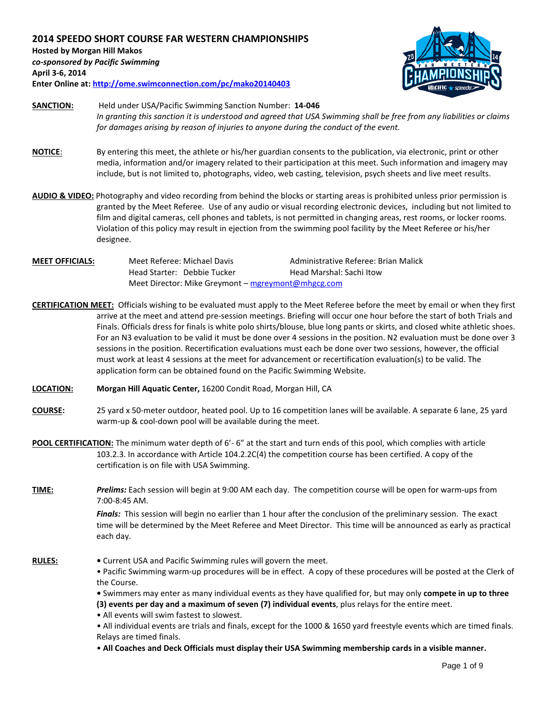**2014 SPEEDO SHORT COURSE FAR WESTERN CHAMPIONSHIPS Hosted by Morgan Hill Makos** *co-sponsored by Pacific Swimming* **April 3-6, 2014 Enter Online at[: http://ome.swimconnection.com/pc/mako20140403](http://ome.swimconnection.com/pc/mako20140403)**



- **SANCTION:** Held under USA/Pacific Swimming Sanction Number: **14-046** *In granting this sanction it is understood and agreed that USA Swimming shall be free from any liabilities or claims for damages arising by reason of injuries to anyone during the conduct of the event.*
- **NOTICE**: By entering this meet, the athlete or his/her guardian consents to the publication, via electronic, print or other media, information and/or imagery related to their participation at this meet. Such information and imagery may include, but is not limited to, photographs, video, web casting, television, psych sheets and live meet results.
- **AUDIO & VIDEO:** Photography and video recording from behind the blocks or starting areas is prohibited unless prior permission is granted by the Meet Referee. Use of any audio or visual recording electronic devices, including but not limited to film and digital cameras, cell phones and tablets, is not permitted in changing areas, rest rooms, or locker rooms. Violation of this policy may result in ejection from the swimming pool facility by the Meet Referee or his/her designee.
- **MEET OFFICIALS:** Meet Referee: Michael Davis **Administrative Referee: Brian Malick** Head Starter: Debbie Tucker Head Marshal: Sachi Itow Meet Director: Mike Greymont – [mgreymont@mhgcg.com](mailto:mgreymont@mhgcg.com)
- **CERTIFICATION MEET:** Officials wishing to be evaluated must apply to the Meet Referee before the meet by email or when they first arrive at the meet and attend pre-session meetings. Briefing will occur one hour before the start of both Trials and Finals. Officials dress for finals is white polo shirts/blouse, blue long pants or skirts, and closed white athletic shoes. For an N3 evaluation to be valid it must be done over 4 sessions in the position. N2 evaluation must be done over 3 sessions in the position. Recertification evaluations must each be done over two sessions, however, the official must work at least 4 sessions at the meet for advancement or recertification evaluation(s) to be valid. The application form can be obtained found on the Pacific Swimming Website.
- **LOCATION: Morgan Hill Aquatic Center,** 16200 Condit Road, Morgan Hill, CA
- **COURSE:** 25 yard x 50-meter outdoor, heated pool. Up to 16 competition lanes will be available. A separate 6 lane, 25 yard warm-up & cool-down pool will be available during the meet.
- **POOL CERTIFICATION:** The minimum water depth of 6'- 6" at the start and turn ends of this pool, which complies with article 103.2.3. In accordance with Article 104.2.2C(4) the competition course has been certified. A copy of the certification is on file with USA Swimming.
- **TIME:** *Prelims:* Each session will begin at 9:00 AM each day. The competition course will be open for warm-ups from 7:00-8:45 AM.

*Finals:* This session will begin no earlier than 1 hour after the conclusion of the preliminary session. The exact time will be determined by the Meet Referee and Meet Director. This time will be announced as early as practical each day.

- **RULES:** Current USA and Pacific Swimming rules will govern the meet.
	- Pacific Swimming warm-up procedures will be in effect. A copy of these procedures will be posted at the Clerk of the Course.

**•** Swimmers may enter as many individual events as they have qualified for, but may only **compete in up to three (3) events per day and a maximum of seven (7) individual events**, plus relays for the entire meet.

• All events will swim fastest to slowest.

• All individual events are trials and finals, except for the 1000 & 1650 yard freestyle events which are timed finals. Relays are timed finals.

• **All Coaches and Deck Officials must display their USA Swimming membership cards in a visible manner.**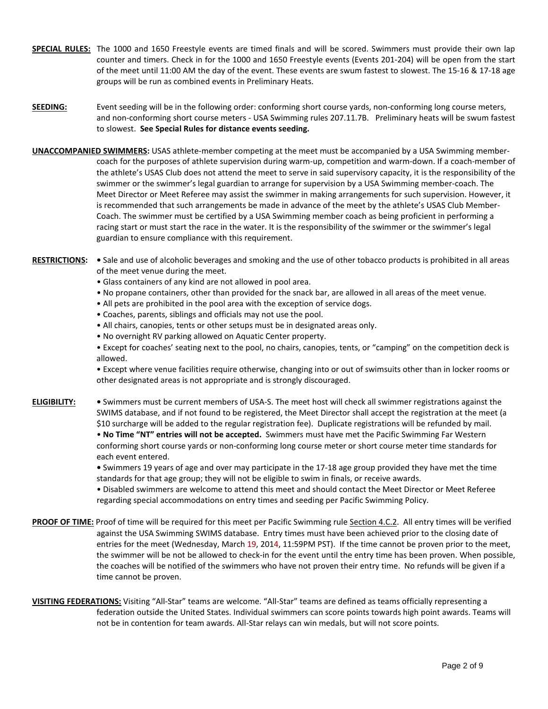- **SPECIAL RULES:** The 1000 and 1650 Freestyle events are timed finals and will be scored. Swimmers must provide their own lap counter and timers. Check in for the 1000 and 1650 Freestyle events (Events 201-204) will be open from the start of the meet until 11:00 AM the day of the event. These events are swum fastest to slowest. The 15-16 & 17-18 age groups will be run as combined events in Preliminary Heats.
- **SEEDING:** Event seeding will be in the following order: conforming short course yards, non-conforming long course meters, and non-conforming short course meters - USA Swimming rules 207.11.7B. Preliminary heats will be swum fastest to slowest. **See Special Rules for distance events seeding.**
- **UNACCOMPANIED SWIMMERS:** USAS athlete-member competing at the meet must be accompanied by a USA Swimming membercoach for the purposes of athlete supervision during warm-up, competition and warm-down. If a coach-member of the athlete's USAS Club does not attend the meet to serve in said supervisory capacity, it is the responsibility of the swimmer or the swimmer's legal guardian to arrange for supervision by a USA Swimming member-coach. The Meet Director or Meet Referee may assist the swimmer in making arrangements for such supervision. However, it is recommended that such arrangements be made in advance of the meet by the athlete's USAS Club Member-Coach. The swimmer must be certified by a USA Swimming member coach as being proficient in performing a racing start or must start the race in the water. It is the responsibility of the swimmer or the swimmer's legal guardian to ensure compliance with this requirement.
- **RESTRICTIONS: •** Sale and use of alcoholic beverages and smoking and the use of other tobacco products is prohibited in all areas of the meet venue during the meet.
	- Glass containers of any kind are not allowed in pool area.
	- No propane containers, other than provided for the snack bar, are allowed in all areas of the meet venue.
	- All pets are prohibited in the pool area with the exception of service dogs.
	- Coaches, parents, siblings and officials may not use the pool.
	- All chairs, canopies, tents or other setups must be in designated areas only.
	- No overnight RV parking allowed on Aquatic Center property.
	- Except for coaches' seating next to the pool, no chairs, canopies, tents, or "camping" on the competition deck is allowed.
	- Except where venue facilities require otherwise, changing into or out of swimsuits other than in locker rooms or other designated areas is not appropriate and is strongly discouraged.
- **ELIGIBILITY: •** Swimmers must be current members of USA-S. The meet host will check all swimmer registrations against the SWIMS database, and if not found to be registered, the Meet Director shall accept the registration at the meet (a \$10 surcharge will be added to the regular registration fee). Duplicate registrations will be refunded by mail. • **No Time "NT" entries will not be accepted.** Swimmers must have met the Pacific Swimming Far Western conforming short course yards or non-conforming long course meter or short course meter time standards for each event entered.
	- **•** Swimmers 19 years of age and over may participate in the 17-18 age group provided they have met the time standards for that age group; they will not be eligible to swim in finals, or receive awards.
	- Disabled swimmers are welcome to attend this meet and should contact the Meet Director or Meet Referee regarding special accommodations on entry times and seeding per Pacific Swimming Policy.
- PROOF OF TIME: Proof of time will be required for this meet per Pacific Swimming rule Section 4.C.2. All entry times will be verified against the USA Swimming SWIMS database. Entry times must have been achieved prior to the closing date of entries for the meet (Wednesday, March 19, 2014, 11:59PM PST). If the time cannot be proven prior to the meet, the swimmer will be not be allowed to check-in for the event until the entry time has been proven. When possible, the coaches will be notified of the swimmers who have not proven their entry time. No refunds will be given if a time cannot be proven.
- **VISITING FEDERATIONS:** Visiting "All-Star" teams are welcome. "All-Star" teams are defined as teams officially representing a federation outside the United States. Individual swimmers can score points towards high point awards. Teams will not be in contention for team awards. All-Star relays can win medals, but will not score points.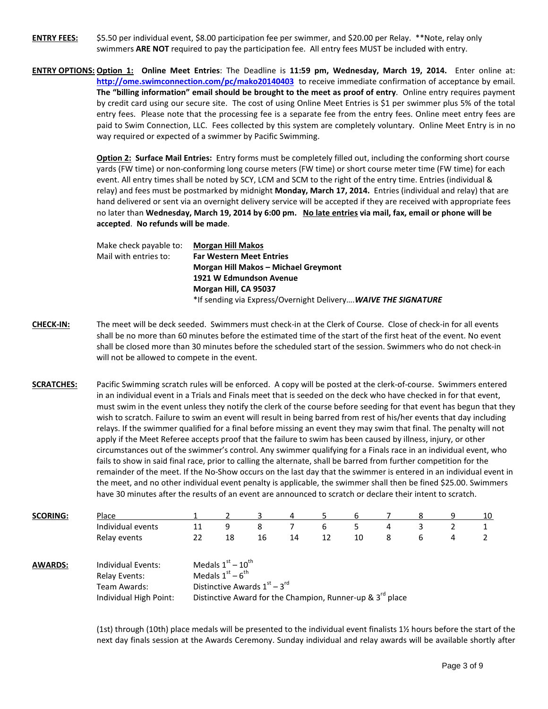**ENTRY FEES:** \$5.50 per individual event, \$8.00 participation fee per swimmer, and \$20.00 per Relay. \*\*Note, relay only swimmers **ARE NOT** required to pay the participation fee. All entry fees MUST be included with entry.

**ENTRY OPTIONS: Option 1: Online Meet Entries**: The Deadline is **11:59 pm, Wednesday, March 19, 2014.** Enter online at: **<http://ome.swimconnection.com/pc/mako20140403>** to receive immediate confirmation of acceptance by email. **The "billing information" email should be brought to the meet as proof of entry**. Online entry requires payment by credit card using our secure site. The cost of using Online Meet Entries is \$1 per swimmer plus 5% of the total entry fees. Please note that the processing fee is a separate fee from the entry fees. Online meet entry fees are paid to Swim Connection, LLC. Fees collected by this system are completely voluntary. Online Meet Entry is in no way required or expected of a swimmer by Pacific Swimming.

> **Option 2: Surface Mail Entries:** Entry forms must be completely filled out, including the conforming short course yards (FW time) or non-conforming long course meters (FW time) or short course meter time (FW time) for each event. All entry times shall be noted by SCY, LCM and SCM to the right of the entry time. Entries (individual & relay) and fees must be postmarked by midnight **Monday, March 17, 2014.** Entries (individual and relay) that are hand delivered or sent via an overnight delivery service will be accepted if they are received with appropriate fees no later than **Wednesday, March 19, 2014 by 6:00 pm. No late entries via mail, fax, email or phone will be accepted**. **No refunds will be made**.

| Make check payable to: | Morgan Hill Makos                                              |
|------------------------|----------------------------------------------------------------|
| Mail with entries to:  | <b>Far Western Meet Entries</b>                                |
|                        | Morgan Hill Makos - Michael Greymont                           |
|                        | 1921 W Edmundson Avenue                                        |
|                        | Morgan Hill, CA 95037                                          |
|                        | *If sending via Express/Overnight Delivery WAIVE THE SIGNATURE |
|                        |                                                                |

- **CHECK-IN:** The meet will be deck seeded. Swimmers must check-in at the Clerk of Course. Close of check-in for all events shall be no more than 60 minutes before the estimated time of the start of the first heat of the event. No event shall be closed more than 30 minutes before the scheduled start of the session. Swimmers who do not check-in will not be allowed to compete in the event.
- **SCRATCHES:** Pacific Swimming scratch rules will be enforced. A copy will be posted at the clerk-of-course.Swimmers entered in an individual event in a Trials and Finals meet that is seeded on the deck who have checked in for that event, must swim in the event unless they notify the clerk of the course before seeding for that event has begun that they wish to scratch. Failure to swim an event will result in being barred from rest of his/her events that day including relays. If the swimmer qualified for a final before missing an event they may swim that final. The penalty will not apply if the Meet Referee accepts proof that the failure to swim has been caused by illness, injury, or other circumstances out of the swimmer's control. Any swimmer qualifying for a Finals race in an individual event, who fails to show in said final race, prior to calling the alternate, shall be barred from further competition for the remainder of the meet. If the No-Show occurs on the last day that the swimmer is entered in an individual event in the meet, and no other individual event penalty is applicable, the swimmer shall then be fined \$25.00. Swimmers have 30 minutes after the results of an event are announced to scratch or declare their intent to scratch.

| <b>SCORING:</b> | Place                |                                | Д<br>h |    |    |    |    |   |   | q | 10 |  |  |
|-----------------|----------------------|--------------------------------|--------|----|----|----|----|---|---|---|----|--|--|
|                 | Individual events    | 11                             | 9      | 8  |    | b  |    | 4 |   |   |    |  |  |
|                 | Relay events         | 22                             | 18     | 16 | 14 | 12 | 10 | 8 | ь | 4 |    |  |  |
| <b>AWARDS:</b>  | Individual Events:   | Medals $1st - 10th$            |        |    |    |    |    |   |   |   |    |  |  |
|                 | <b>Relay Events:</b> | Medals $1st - 6th$             |        |    |    |    |    |   |   |   |    |  |  |
|                 | Team Awards:         | Distinctive Awards $1st - 3rd$ |        |    |    |    |    |   |   |   |    |  |  |

Individual High Point: Distinctive Award for the Champion, Runner-up &  $3^{rd}$  place

(1st) through (10th) place medals will be presented to the individual event finalists 1½ hours before the start of the next day finals session at the Awards Ceremony. Sunday individual and relay awards will be available shortly after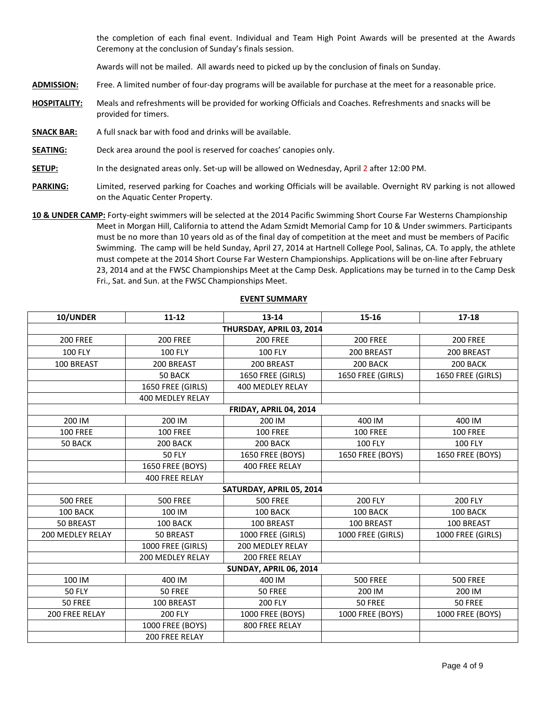the completion of each final event. Individual and Team High Point Awards will be presented at the Awards Ceremony at the conclusion of Sunday's finals session.

Awards will not be mailed. All awards need to picked up by the conclusion of finals on Sunday.

**ADMISSION:** Free. A limited number of four-day programs will be available for purchase at the meet for a reasonable price.

- **HOSPITALITY:** Meals and refreshments will be provided for working Officials and Coaches. Refreshments and snacks will be provided for timers.
- **SNACK BAR:** A full snack bar with food and drinks will be available.
- **SEATING:** Deck area around the pool is reserved for coaches' canopies only.
- **SETUP:** In the designated areas only. Set-up will be allowed on Wednesday, April 2 after 12:00 PM.
- **PARKING:** Limited, reserved parking for Coaches and working Officials will be available. Overnight RV parking is not allowed on the Aquatic Center Property.
- **10 & UNDER CAMP:** Forty-eight swimmers will be selected at the 2014 Pacific Swimming Short Course Far Westerns Championship Meet in Morgan Hill, California to attend the Adam Szmidt Memorial Camp for 10 & Under swimmers. Participants must be no more than 10 years old as of the final day of competition at the meet and must be members of Pacific Swimming. The camp will be held Sunday, April 27, 2014 at Hartnell College Pool, Salinas, CA. To apply, the athlete must compete at the 2014 Short Course Far Western Championships. Applications will be on-line after February 23, 2014 and at the FWSC Championships Meet at the Camp Desk. Applications may be turned in to the Camp Desk Fri., Sat. and Sun. at the FWSC Championships Meet.

| 10/UNDER                | $11 - 12$               | $13 - 14$                     | 15-16             | $17 - 18$         |  |  |  |  |  |  |  |  |
|-------------------------|-------------------------|-------------------------------|-------------------|-------------------|--|--|--|--|--|--|--|--|
|                         |                         | THURSDAY, APRIL 03, 2014      |                   |                   |  |  |  |  |  |  |  |  |
| <b>200 FREE</b>         | <b>200 FREE</b>         | <b>200 FREE</b>               | <b>200 FREE</b>   | <b>200 FREE</b>   |  |  |  |  |  |  |  |  |
| <b>100 FLY</b>          | <b>100 FLY</b>          | <b>100 FLY</b>                | 200 BREAST        | 200 BREAST        |  |  |  |  |  |  |  |  |
| 100 BREAST              | 200 BREAST              | 200 BREAST                    | 200 BACK          | 200 BACK          |  |  |  |  |  |  |  |  |
|                         | 50 BACK                 | 1650 FREE (GIRLS)             | 1650 FREE (GIRLS) | 1650 FREE (GIRLS) |  |  |  |  |  |  |  |  |
|                         | 1650 FREE (GIRLS)       | 400 MEDLEY RELAY              |                   |                   |  |  |  |  |  |  |  |  |
|                         | <b>400 MEDLEY RELAY</b> |                               |                   |                   |  |  |  |  |  |  |  |  |
| FRIDAY, APRIL 04, 2014  |                         |                               |                   |                   |  |  |  |  |  |  |  |  |
| 200 IM                  | 200 IM                  | 200 IM                        | 400 IM            | 400 IM            |  |  |  |  |  |  |  |  |
| <b>100 FREE</b>         | <b>100 FREE</b>         | <b>100 FREE</b>               | <b>100 FREE</b>   | <b>100 FREE</b>   |  |  |  |  |  |  |  |  |
| 50 BACK                 | 200 BACK                | 200 BACK                      | <b>100 FLY</b>    | <b>100 FLY</b>    |  |  |  |  |  |  |  |  |
|                         | <b>50 FLY</b>           | 1650 FREE (BOYS)              | 1650 FREE (BOYS)  | 1650 FREE (BOYS)  |  |  |  |  |  |  |  |  |
|                         | 1650 FREE (BOYS)        | 400 FREE RELAY                |                   |                   |  |  |  |  |  |  |  |  |
|                         | <b>400 FREE RELAY</b>   |                               |                   |                   |  |  |  |  |  |  |  |  |
|                         |                         | SATURDAY, APRIL 05, 2014      |                   |                   |  |  |  |  |  |  |  |  |
| <b>500 FREE</b>         | <b>500 FREE</b>         | <b>500 FREE</b>               | 200 FLY           | 200 FLY           |  |  |  |  |  |  |  |  |
| 100 BACK                | 100 IM                  | 100 BACK                      | 100 BACK          | 100 BACK          |  |  |  |  |  |  |  |  |
| 50 BREAST               | 100 BACK                | 100 BREAST                    | 100 BREAST        | 100 BREAST        |  |  |  |  |  |  |  |  |
| <b>200 MEDLEY RELAY</b> | 50 BREAST               | 1000 FREE (GIRLS)             | 1000 FREE (GIRLS) | 1000 FREE (GIRLS) |  |  |  |  |  |  |  |  |
|                         | 1000 FREE (GIRLS)       | <b>200 MEDLEY RELAY</b>       |                   |                   |  |  |  |  |  |  |  |  |
|                         | 200 MEDLEY RELAY        | 200 FREE RELAY                |                   |                   |  |  |  |  |  |  |  |  |
|                         |                         | <b>SUNDAY, APRIL 06, 2014</b> |                   |                   |  |  |  |  |  |  |  |  |
| 100 IM                  | 400 IM                  | 400 IM                        | <b>500 FREE</b>   | <b>500 FREE</b>   |  |  |  |  |  |  |  |  |
| <b>50 FLY</b>           | 50 FREE                 | <b>50 FREE</b>                | 200 IM            | 200 IM            |  |  |  |  |  |  |  |  |
| 50 FREE                 | 100 BREAST              | 200 FLY                       | 50 FREE           | 50 FREE           |  |  |  |  |  |  |  |  |
| 200 FREE RELAY          | <b>200 FLY</b>          | 1000 FREE (BOYS)              | 1000 FREE (BOYS)  | 1000 FREE (BOYS)  |  |  |  |  |  |  |  |  |
|                         | 1000 FREE (BOYS)        | 800 FREE RELAY                |                   |                   |  |  |  |  |  |  |  |  |
|                         | 200 FREE RELAY          |                               |                   |                   |  |  |  |  |  |  |  |  |

### **EVENT SUMMARY**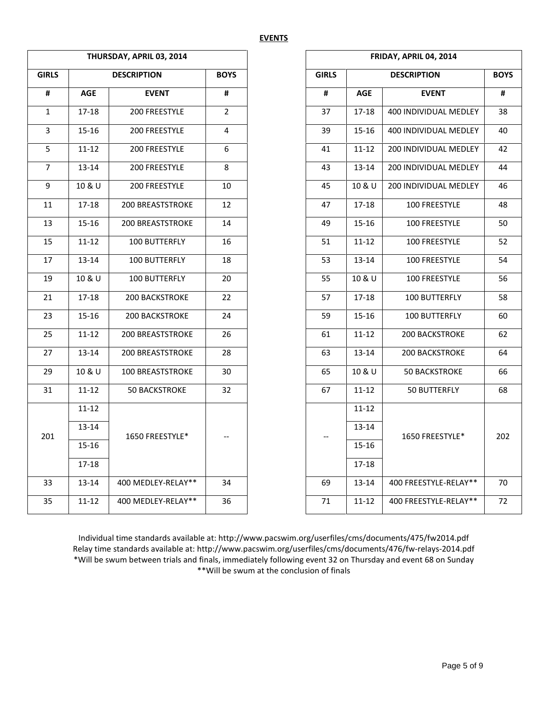|                |            | THURSDAY, APRIL 03, 2014 |                |              | FRIDAY, APRIL 04, 2014 |                       |             |  |  |
|----------------|------------|--------------------------|----------------|--------------|------------------------|-----------------------|-------------|--|--|
| <b>GIRLS</b>   |            | <b>DESCRIPTION</b>       | <b>BOYS</b>    | <b>GIRLS</b> |                        | <b>DESCRIPTION</b>    | <b>BOYS</b> |  |  |
| $\pmb{\sharp}$ | <b>AGE</b> | <b>EVENT</b>             | #              | #            | <b>AGE</b>             | <b>EVENT</b>          | #           |  |  |
| $\mathbf 1$    | 17-18      | 200 FREESTYLE            | $\overline{2}$ | 37           | $17 - 18$              | 400 INDIVIDUAL MEDLEY | 38          |  |  |
| $\overline{3}$ | $15 - 16$  | 200 FREESTYLE            | $\overline{4}$ | 39           | $15 - 16$              | 400 INDIVIDUAL MEDLEY | 40          |  |  |
| 5              | $11 - 12$  | 200 FREESTYLE            | 6              | 41           | $11 - 12$              | 200 INDIVIDUAL MEDLEY | 42          |  |  |
| $\overline{7}$ | 13-14      | 200 FREESTYLE            | 8              | 43           | $13 - 14$              | 200 INDIVIDUAL MEDLEY | 44          |  |  |
| 9              | 10 & U     | 200 FREESTYLE            | 10             | 45           | 10 & U                 | 200 INDIVIDUAL MEDLEY | 46          |  |  |
| $11\,$         | $17 - 18$  | 200 BREASTSTROKE         | 12             | 47           | 17-18                  | 100 FREESTYLE         | 48          |  |  |
| 13             | 15-16      | <b>200 BREASTSTROKE</b>  | 14             | 49           | $15 - 16$              | 100 FREESTYLE         | 50          |  |  |
| 15             | $11 - 12$  | 100 BUTTERFLY            | 16             | 51           | $11 - 12$              | 100 FREESTYLE         | 52          |  |  |
| 17             | $13 - 14$  | 100 BUTTERFLY            | 18             | 53           | $13 - 14$              | 100 FREESTYLE         | 54          |  |  |
| 19             | 10 & U     | 100 BUTTERFLY            | 20             | 55           | 10 & U                 | 100 FREESTYLE         | 56          |  |  |
| 21             | $17 - 18$  | 200 BACKSTROKE           | 22             | 57           | $17 - 18$              | 100 BUTTERFLY         | 58          |  |  |
| 23             | $15 - 16$  | 200 BACKSTROKE           | 24             | 59           | $15 - 16$              | 100 BUTTERFLY         | 60          |  |  |
| 25             | $11 - 12$  | 200 BREASTSTROKE         | 26             | 61           | $11 - 12$              | 200 BACKSTROKE        |             |  |  |
| 27             | $13 - 14$  | 200 BREASTSTROKE         | 28             | 63           | $13 - 14$              | 200 BACKSTROKE        |             |  |  |
| 29             | 10 & U     | 100 BREASTSTROKE         | 30             | 65           | 10 & U                 | <b>50 BACKSTROKE</b>  |             |  |  |
| 31             | $11 - 12$  | <b>50 BACKSTROKE</b>     | 32             | 67           | $11 - 12$              | 50 BUTTERFLY          |             |  |  |
|                | $11 - 12$  |                          |                |              | $11 - 12$              |                       |             |  |  |
| 201            | $13 - 14$  | 1650 FREESTYLE*          |                |              | 13-14                  | 1650 FREESTYLE*       | 202         |  |  |
|                | $15 - 16$  |                          |                |              | $15 - 16$              |                       |             |  |  |
|                | 17-18      |                          |                |              | $17 - 18$              |                       |             |  |  |
| 33             | $13 - 14$  | 400 MEDLEY-RELAY**       | 34             | 69           | 13-14                  | 400 FREESTYLE-RELAY** |             |  |  |
| 35             | $11 - 12$  | 400 MEDLEY-RELAY**       | 36             | 71           | $11 - 12$              | 400 FREESTYLE-RELAY** |             |  |  |

| FRIDAY, APRIL 04, 2014 |            |                              |             |  |  |  |  |  |  |  |  |
|------------------------|------------|------------------------------|-------------|--|--|--|--|--|--|--|--|
| <b>GIRLS</b>           |            | <b>DESCRIPTION</b>           | <b>BOYS</b> |  |  |  |  |  |  |  |  |
| #                      | <b>AGE</b> | <b>EVENT</b>                 | #           |  |  |  |  |  |  |  |  |
| 37                     | 17-18      | <b>400 INDIVIDUAL MEDLEY</b> | 38          |  |  |  |  |  |  |  |  |
| 39                     | 15-16      | 400 INDIVIDUAL MEDLEY        | 40          |  |  |  |  |  |  |  |  |
| 41                     | 11-12      | <b>200 INDIVIDUAL MEDLEY</b> | 42          |  |  |  |  |  |  |  |  |
| 43                     | $13 - 14$  | <b>200 INDIVIDUAL MEDLEY</b> | 44          |  |  |  |  |  |  |  |  |
| 45                     | 10 & U     | <b>200 INDIVIDUAL MEDLEY</b> | 46          |  |  |  |  |  |  |  |  |
| 47                     | $17 - 18$  | 100 FREESTYLE                | 48          |  |  |  |  |  |  |  |  |
| 49                     | 15-16      | 100 FREESTYLE                | 50          |  |  |  |  |  |  |  |  |
| 51                     | $11 - 12$  | 100 FREESTYLE                | 52          |  |  |  |  |  |  |  |  |
| 53                     | $13 - 14$  | 100 FREESTYLE                | 54          |  |  |  |  |  |  |  |  |
| 55                     | 10 & U     | 100 FREESTYLE                | 56          |  |  |  |  |  |  |  |  |
| 57                     | 17-18      | 100 BUTTERFLY                | 58          |  |  |  |  |  |  |  |  |
| 59                     | $15 - 16$  | 100 BUTTERFLY                | 60          |  |  |  |  |  |  |  |  |
| 61                     | 11-12      | <b>200 BACKSTROKE</b>        | 62          |  |  |  |  |  |  |  |  |
| 63                     | 13-14      | <b>200 BACKSTROKE</b>        | 64          |  |  |  |  |  |  |  |  |
| 65                     | 10 & U     | <b>50 BACKSTROKE</b>         | 66          |  |  |  |  |  |  |  |  |
| 67                     | 11-12      | 50 BUTTERFLY                 | 68          |  |  |  |  |  |  |  |  |
|                        | $11 - 12$  |                              |             |  |  |  |  |  |  |  |  |
|                        | 13-14      | 1650 FREESTYLE*              | 202         |  |  |  |  |  |  |  |  |
|                        | 15-16      |                              |             |  |  |  |  |  |  |  |  |
|                        | $17 - 18$  |                              |             |  |  |  |  |  |  |  |  |
| 69                     | $13 - 14$  | 400 FREESTYLE-RELAY**        | 70          |  |  |  |  |  |  |  |  |
| 71                     | 11-12      | 400 FREESTYLE-RELAY**        | 72          |  |  |  |  |  |  |  |  |

Individual time standards available at: http://www.pacswim.org/userfiles/cms/documents/475/fw2014.pdf Relay time standards available at: http://www.pacswim.org/userfiles/cms/documents/476/fw-relays-2014.pdf \*Will be swum between trials and finals, immediately following event 32 on Thursday and event 68 on Sunday \*\*Will be swum at the conclusion of finals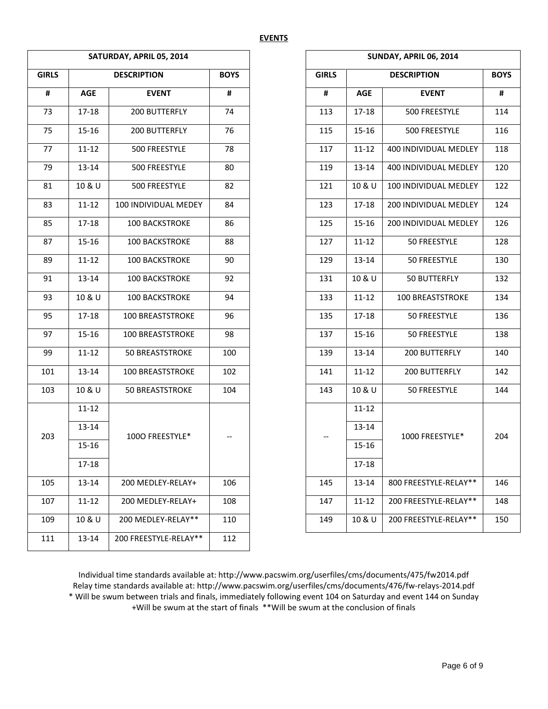|              |            | SATURDAY, APRIL 05, 2014 |             |              | SUNDAY, APRIL 06, 2014 |                         |             |  |
|--------------|------------|--------------------------|-------------|--------------|------------------------|-------------------------|-------------|--|
| <b>GIRLS</b> |            | <b>DESCRIPTION</b>       | <b>BOYS</b> | <b>GIRLS</b> |                        | <b>DESCRIPTION</b>      | <b>BOYS</b> |  |
| #            | <b>AGE</b> | <b>EVENT</b>             | #           | #            | <b>AGE</b>             | <b>EVENT</b>            | #           |  |
| 73           | $17 - 18$  | 200 BUTTERFLY            | 74          | 113          | 17-18                  | 500 FREESTYLE           | 114         |  |
| 75           | $15 - 16$  | 200 BUTTERFLY            | 76          | 115          | $15 - 16$              | 500 FREESTYLE           | 116         |  |
| 77           | $11 - 12$  | 500 FREESTYLE            | 78          | 117          | $11 - 12$              | 400 INDIVIDUAL MEDLEY   | 118         |  |
| 79           | 13-14      | 500 FREESTYLE            | 80          | 119          | 13-14                  | 400 INDIVIDUAL MEDLEY   | 120         |  |
| 81           | 10 & U     | 500 FREESTYLE            | 82          | 121          | 10 & U                 | 100 INDIVIDUAL MEDLEY   | 122         |  |
| 83           | $11 - 12$  | 100 INDIVIDUAL MEDEY     | 84          | 123          | 17-18                  | 200 INDIVIDUAL MEDLEY   | 124         |  |
| 85           | 17-18      | <b>100 BACKSTROKE</b>    | 86          | 125          | $15 - 16$              | 200 INDIVIDUAL MEDLEY   | 126         |  |
| 87           | $15 - 16$  | 100 BACKSTROKE           | 88          | 127          | $11 - 12$              | 50 FREESTYLE            | 128         |  |
| 89           | $11 - 12$  | 100 BACKSTROKE           | 90          | 129          | 13-14                  | 50 FREESTYLE            | 130         |  |
| 91           | 13-14      | 100 BACKSTROKE           | 92          | 131          | 10 & U                 | 50 BUTTERFLY            | 132         |  |
| 93           | 10 & U     | 100 BACKSTROKE           | 94          | 133          | $11 - 12$              | <b>100 BREASTSTROKE</b> | 134         |  |
| 95           | $17 - 18$  | 100 BREASTSTROKE         | 96          | 135          | $17 - 18$              | 50 FREESTYLE            | 136         |  |
| 97           | 15-16      | 100 BREASTSTROKE         | 98          | 137          | 15-16                  | 50 FREESTYLE            | 138         |  |
| 99           | $11 - 12$  | 50 BREASTSTROKE          | 100         | 139          | 13-14                  | 200 BUTTERFLY           | 140         |  |
| 101          | $13 - 14$  | 100 BREASTSTROKE         | 102         | 141          | $11 - 12$              | 200 BUTTERFLY           | 142         |  |
| 103          | 10 & U     | 50 BREASTSTROKE          | 104         | 143          | 10 & U                 | 50 FREESTYLE            | 144         |  |
|              | $11 - 12$  |                          |             |              | $11 - 12$              |                         |             |  |
| 203          | 13-14      | 1000 FREESTYLE*          | $-\!$ –     |              | 13-14                  | 1000 FREESTYLE*         | 204         |  |
|              | $15 - 16$  |                          |             |              | $15 - 16$              |                         |             |  |
|              | 17-18      |                          |             |              | 17-18                  |                         |             |  |
| 105          | 13-14      | 200 MEDLEY-RELAY+        | 106         | 145          | 13-14                  | 800 FREESTYLE-RELAY**   | 146         |  |
| 107          | 11-12      | 200 MEDLEY-RELAY+        | 108         | 147          | 11-12                  | 200 FREESTYLE-RELAY**   | 148         |  |
| 109          | 10 & U     | 200 MEDLEY-RELAY**       | 110         | 149          | 10 & U                 | 200 FREESTYLE-RELAY**   | 150         |  |
| 111          | 13-14      | 200 FREESTYLE-RELAY**    | 112         |              |                        |                         |             |  |

| <b>SUNDAY, APRIL 06, 2014</b> |            |                       |             |  |  |  |  |  |  |  |  |
|-------------------------------|------------|-----------------------|-------------|--|--|--|--|--|--|--|--|
| <b>GIRLS</b>                  |            | <b>DESCRIPTION</b>    | <b>BOYS</b> |  |  |  |  |  |  |  |  |
| #                             | <b>AGE</b> | <b>EVENT</b>          | #           |  |  |  |  |  |  |  |  |
| 113                           | 17-18      | 500 FREESTYLE         | 114         |  |  |  |  |  |  |  |  |
| 115                           | $15 - 16$  | 500 FREESTYLE         | 116         |  |  |  |  |  |  |  |  |
| 117                           | $11 - 12$  | 400 INDIVIDUAL MEDLEY | 118         |  |  |  |  |  |  |  |  |
| 119                           | 13-14      | 400 INDIVIDUAL MEDLEY | 120         |  |  |  |  |  |  |  |  |
| 121                           | 10 & U     | 100 INDIVIDUAL MEDLEY | 122         |  |  |  |  |  |  |  |  |
| 123                           | 17-18      | 200 INDIVIDUAL MEDLEY | 124         |  |  |  |  |  |  |  |  |
| 125                           | $15 - 16$  | 200 INDIVIDUAL MEDLEY | 126         |  |  |  |  |  |  |  |  |
| 127                           | $11 - 12$  | 50 FREESTYLE          | 128         |  |  |  |  |  |  |  |  |
| 129                           | 13-14      | 50 FREESTYLE          | 130         |  |  |  |  |  |  |  |  |
| 131                           | 10 & U     | 50 BUTTERFLY          | 132         |  |  |  |  |  |  |  |  |
| 133                           | $11 - 12$  | 100 BREASTSTROKE      | 134         |  |  |  |  |  |  |  |  |
| 135                           | $17 - 18$  | 50 FREESTYLE          | 136         |  |  |  |  |  |  |  |  |
| 137                           | 15-16      | 50 FREESTYLE          | 138         |  |  |  |  |  |  |  |  |
| 139                           | 13-14      | 200 BUTTERFLY         | 140         |  |  |  |  |  |  |  |  |
| 141                           | $11 - 12$  | 200 BUTTERFLY         | 142         |  |  |  |  |  |  |  |  |
| 143                           | 10 & U     | 50 FREESTYLE          | 144         |  |  |  |  |  |  |  |  |
|                               | $11 - 12$  |                       |             |  |  |  |  |  |  |  |  |
|                               | 13-14      | 1000 FREESTYLE*       | 204         |  |  |  |  |  |  |  |  |
|                               | 15-16      |                       |             |  |  |  |  |  |  |  |  |
|                               | 17-18      |                       |             |  |  |  |  |  |  |  |  |
| 145                           | 13-14      | 800 FREESTYLE-RELAY** | 146         |  |  |  |  |  |  |  |  |
| 147                           | 11-12      | 200 FREESTYLE-RELAY** | 148         |  |  |  |  |  |  |  |  |
| 149                           | 10 & U     | 200 FREESTYLE-RELAY** | 150         |  |  |  |  |  |  |  |  |

Individual time standards available at: http://www.pacswim.org/userfiles/cms/documents/475/fw2014.pdf Relay time standards available at: http://www.pacswim.org/userfiles/cms/documents/476/fw-relays-2014.pdf \* Will be swum between trials and finals, immediately following event 104 on Saturday and event 144 on Sunday +Will be swum at the start of finals \*\*Will be swum at the conclusion of finals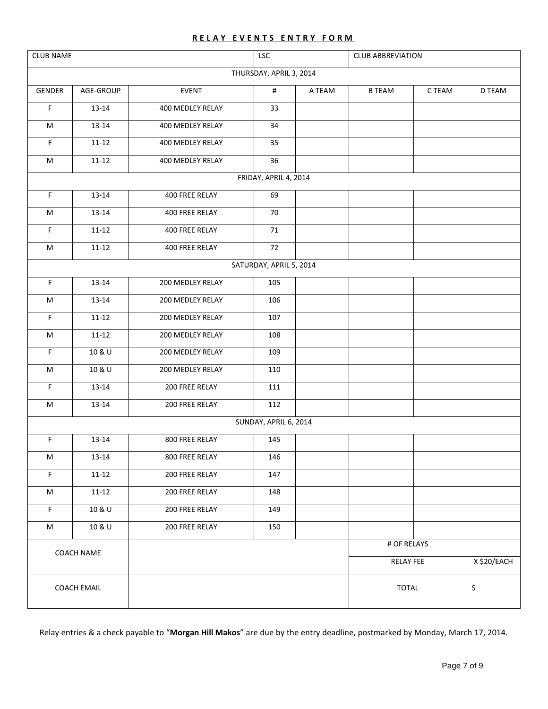## **RELAY EVENTS ENTRY FORM**

|                    | <b>CLUB NAME</b><br>LSC<br><b>CLUB ABBREVIATION</b> |                       |                         |        |               |           |        |  |
|--------------------|-----------------------------------------------------|-----------------------|-------------------------|--------|---------------|-----------|--------|--|
|                    |                                                     |                       | THURSDAY, APRIL 3, 2014 |        |               |           |        |  |
| GENDER             | AGE-GROUP                                           | EVENT                 | $\#$                    | A TEAM | <b>B TEAM</b> | C TEAM    | D TEAM |  |
| F                  | $13 - 14$                                           | 400 MEDLEY RELAY      | 33                      |        |               |           |        |  |
| M                  | $13 - 14$                                           | 400 MEDLEY RELAY      | 34                      |        |               |           |        |  |
| F                  | $11 - 12$                                           | 400 MEDLEY RELAY      | 35                      |        |               |           |        |  |
| M                  | $11 - 12$                                           | 400 MEDLEY RELAY      | 36                      |        |               |           |        |  |
|                    |                                                     | FRIDAY, APRIL 4, 2014 |                         |        |               |           |        |  |
| F.                 | $13 - 14$                                           | 400 FREE RELAY        | 69                      |        |               |           |        |  |
| M                  | $13 - 14$                                           | 400 FREE RELAY        | 70                      |        |               |           |        |  |
| F                  | $11 - 12$                                           | 400 FREE RELAY        | 71                      |        |               |           |        |  |
| M                  | $11 - 12$                                           | 400 FREE RELAY        | 72                      |        |               |           |        |  |
|                    |                                                     |                       | SATURDAY, APRIL 5, 2014 |        |               |           |        |  |
| F                  | $13 - 14$                                           | 200 MEDLEY RELAY      | 105                     |        |               |           |        |  |
| M                  | $13 - 14$                                           | 200 MEDLEY RELAY      | 106                     |        |               |           |        |  |
| F                  | $11 - 12$<br>200 MEDLEY RELAY                       |                       | 107                     |        |               |           |        |  |
| M                  | $11 - 12$                                           | 200 MEDLEY RELAY      | 108                     |        |               |           |        |  |
| F                  | 10 & U                                              | 200 MEDLEY RELAY      | 109                     |        |               |           |        |  |
| ${\sf M}$          | 10 & U                                              | 200 MEDLEY RELAY      | 110                     |        |               |           |        |  |
| F                  | $13 - 14$                                           | 200 FREE RELAY        | 111                     |        |               |           |        |  |
| M                  | $13 - 14$                                           | 200 FREE RELAY        | 112                     |        |               |           |        |  |
|                    |                                                     |                       | SUNDAY, APRIL 6, 2014   |        |               |           |        |  |
| F                  | $13 - 14$                                           | 800 FREE RELAY        | 145                     |        |               |           |        |  |
| M                  | 13-14                                               | 800 FREE RELAY        | 146                     |        |               |           |        |  |
| F                  | $11 - 12$                                           | 200 FREE RELAY        | 147                     |        |               |           |        |  |
| M                  | $11 - 12$                                           | 200 FREE RELAY        | 148                     |        |               |           |        |  |
| $\mathsf F$        | 10 & U                                              | 200 FREE RELAY        | 149                     |        |               |           |        |  |
| M                  | 10 & U                                              | 200 FREE RELAY        | 150                     |        |               |           |        |  |
|                    | COACH NAME                                          |                       |                         |        | # OF RELAYS   |           |        |  |
|                    |                                                     |                       |                         |        |               | RELAY FEE |        |  |
| <b>COACH EMAIL</b> |                                                     |                       |                         |        | <b>TOTAL</b>  | \$        |        |  |

Relay entries & a check payable to "**Morgan Hill Makos**" are due by the entry deadline, postmarked by Monday, March 17, 2014.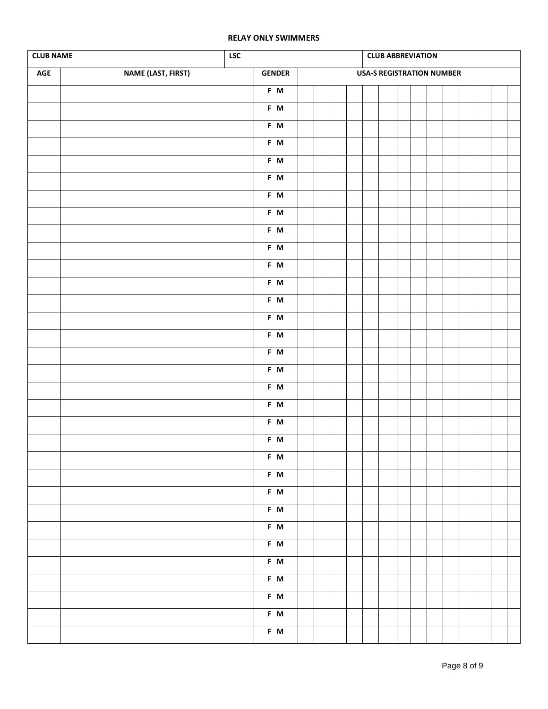#### **RELAY ONLY SWIMMERS**

| <b>CLUB NAME</b><br>${\sf LSC}$<br><b>CLUB ABBREVIATION</b> |                    |               |  |  |                                  |  |  |  |  |  |  |  |  |  |  |
|-------------------------------------------------------------|--------------------|---------------|--|--|----------------------------------|--|--|--|--|--|--|--|--|--|--|
| $\mathsf{AGE}$                                              | NAME (LAST, FIRST) | <b>GENDER</b> |  |  | <b>USA-S REGISTRATION NUMBER</b> |  |  |  |  |  |  |  |  |  |  |
|                                                             |                    | F M           |  |  |                                  |  |  |  |  |  |  |  |  |  |  |
|                                                             |                    | F M           |  |  |                                  |  |  |  |  |  |  |  |  |  |  |
|                                                             |                    | F M           |  |  |                                  |  |  |  |  |  |  |  |  |  |  |
|                                                             |                    | $F$ M         |  |  |                                  |  |  |  |  |  |  |  |  |  |  |
|                                                             |                    | F M           |  |  |                                  |  |  |  |  |  |  |  |  |  |  |
|                                                             |                    | $F$ M         |  |  |                                  |  |  |  |  |  |  |  |  |  |  |
|                                                             |                    | $F$ M         |  |  |                                  |  |  |  |  |  |  |  |  |  |  |
|                                                             |                    | $F$ M         |  |  |                                  |  |  |  |  |  |  |  |  |  |  |
|                                                             |                    | F M           |  |  |                                  |  |  |  |  |  |  |  |  |  |  |
|                                                             |                    | $F$ M         |  |  |                                  |  |  |  |  |  |  |  |  |  |  |
|                                                             |                    | F M           |  |  |                                  |  |  |  |  |  |  |  |  |  |  |
|                                                             |                    | $F$ M         |  |  |                                  |  |  |  |  |  |  |  |  |  |  |
|                                                             |                    | F M           |  |  |                                  |  |  |  |  |  |  |  |  |  |  |
|                                                             |                    | $F$ M         |  |  |                                  |  |  |  |  |  |  |  |  |  |  |
|                                                             |                    | F M           |  |  |                                  |  |  |  |  |  |  |  |  |  |  |
|                                                             |                    | $F$ M         |  |  |                                  |  |  |  |  |  |  |  |  |  |  |
|                                                             |                    | $F$ M         |  |  |                                  |  |  |  |  |  |  |  |  |  |  |
|                                                             |                    | F M           |  |  |                                  |  |  |  |  |  |  |  |  |  |  |
|                                                             |                    | F M           |  |  |                                  |  |  |  |  |  |  |  |  |  |  |
|                                                             |                    | F M           |  |  |                                  |  |  |  |  |  |  |  |  |  |  |
|                                                             |                    | F M           |  |  |                                  |  |  |  |  |  |  |  |  |  |  |
|                                                             |                    | F M           |  |  |                                  |  |  |  |  |  |  |  |  |  |  |
|                                                             |                    | F M           |  |  |                                  |  |  |  |  |  |  |  |  |  |  |
|                                                             |                    | $F$ M         |  |  |                                  |  |  |  |  |  |  |  |  |  |  |
|                                                             |                    | $F$ M         |  |  |                                  |  |  |  |  |  |  |  |  |  |  |
|                                                             |                    | F M           |  |  |                                  |  |  |  |  |  |  |  |  |  |  |
|                                                             |                    | $F$ M         |  |  |                                  |  |  |  |  |  |  |  |  |  |  |
|                                                             |                    | F M           |  |  |                                  |  |  |  |  |  |  |  |  |  |  |
|                                                             |                    | F M           |  |  |                                  |  |  |  |  |  |  |  |  |  |  |
|                                                             |                    | $F$ M         |  |  |                                  |  |  |  |  |  |  |  |  |  |  |
|                                                             |                    | F M           |  |  |                                  |  |  |  |  |  |  |  |  |  |  |
|                                                             |                    | F M           |  |  |                                  |  |  |  |  |  |  |  |  |  |  |